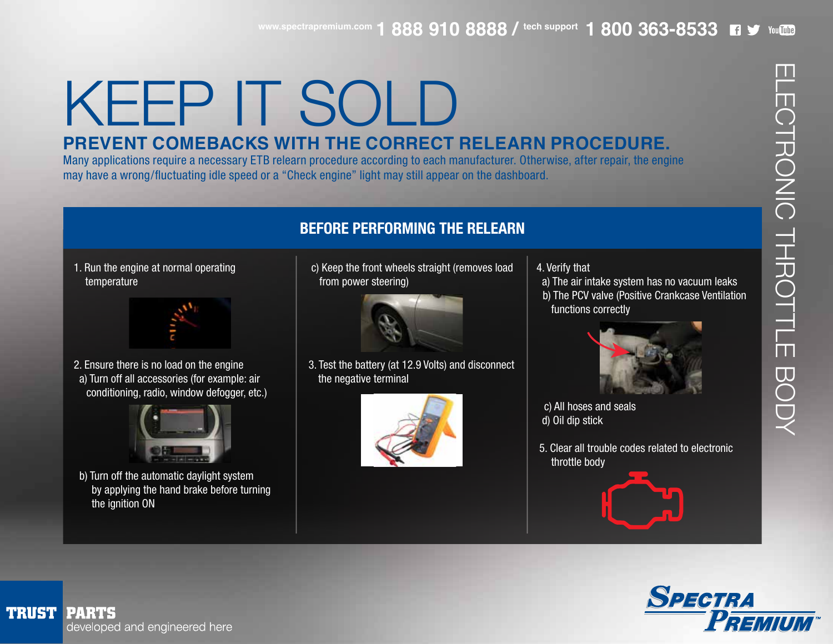## KEEP IT SOLD

## **PREVENT COMEBACKS WITH THE CORRECT RELEARN PROCEDURE.**

Many applications require a necessary ETB relearn procedure according to each manufacturer. Otherwise, after repair, the engine may have a wrong/fluctuating idle speed or a "Check engine" light may still appear on the dashboard.

### **BEFORE PERFORMING THE RELEARN**

1. Run the engine at normal operating temperature



2. Ensure there is no load on the engine a) Turn off all accessories (for example: air conditioning, radio, window defogger, etc.)



 b) Turn off the automatic daylight system by applying the hand brake before turning the ignition ON

 c) Keep the front wheels straight (removes load from power steering)



 3. Test the battery (at 12.9 Volts) and disconnect the negative terminal



4. Verify that

 a) The air intake system has no vacuum leaks b) The PCV valve (Positive Crankcase Ventilation functions correctly



 c) All hoses and seals d) Oil dip stick

 5. Clear all trouble codes related to electronic throttle body





ELECTRONIC THROTTLE BODY

CTRONIC THROTTLE BODY